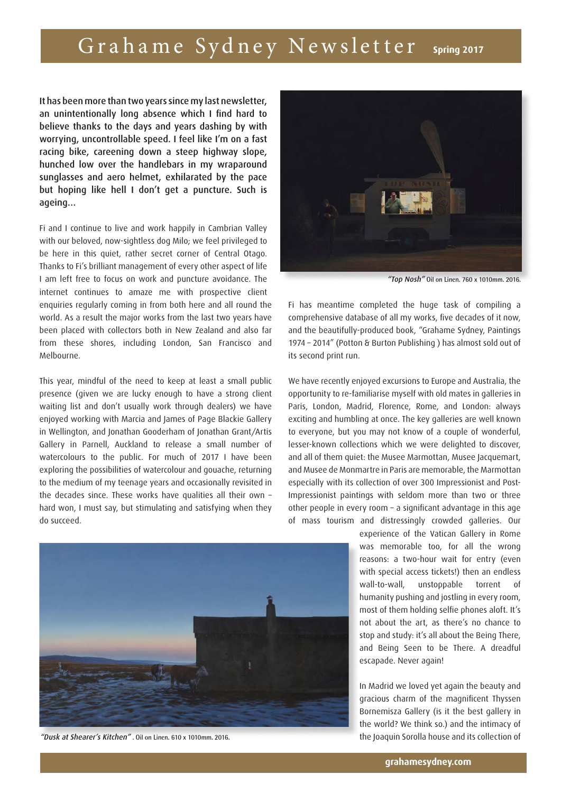## Grahame Sydney Newsletter **Spring 2017**

It has been more than two years since my last newsletter, an unintentionally long absence which I find hard to believe thanks to the days and years dashing by with worrying, uncontrollable speed. I feel like I'm on a fast racing bike, careening down a steep highway slope, hunched low over the handlebars in my wraparound sunglasses and aero helmet, exhilarated by the pace but hoping like hell I don't get a puncture. Such is ageing…

Fi and I continue to live and work happily in Cambrian Valley with our beloved, now-sightless dog Milo; we feel privileged to be here in this quiet, rather secret corner of Central Otago. Thanks to Fi's brilliant management of every other aspect of life I am left free to focus on work and puncture avoidance. The internet continues to amaze me with prospective client enquiries regularly coming in from both here and all round the world. As a result the major works from the last two years have been placed with collectors both in New Zealand and also far from these shores, including London, San Francisco and Melbourne.

This year, mindful of the need to keep at least a small public presence (given we are lucky enough to have a strong client waiting list and don't usually work through dealers) we have enjoyed working with Marcia and James of Page Blackie Gallery in Wellington, and Jonathan Gooderham of Jonathan Grant/Artis Gallery in Parnell, Auckland to release a small number of watercolours to the public. For much of 2017 I have been exploring the possibilities of watercolour and gouache, returning to the medium of my teenage years and occasionally revisited in the decades since. These works have qualities all their own – hard won, I must say, but stimulating and satisfying when they do succeed.



"Dusk at Shearer's Kitchen" **. Oil on Linen. 610 x 1010mm. 2016.**



"Top Nosh" **Oil on Linen. 760 x 1010mm. 2016.**

Fi has meantime completed the huge task of compiling a comprehensive database of all my works, five decades of it now, and the beautifully-produced book, "Grahame Sydney, Paintings 1974 – 2014" (Potton & Burton Publishing ) has almost sold out of its second print run.

We have recently enjoyed excursions to Europe and Australia, the opportunity to re-familiarise myself with old mates in galleries in Paris, London, Madrid, Florence, Rome, and London: always exciting and humbling at once. The key galleries are well known to everyone, but you may not know of a couple of wonderful, lesser-known collections which we were delighted to discover, and all of them quiet: the Musee Marmottan, Musee Jacquemart, and Musee de Monmartre in Paris are memorable, the Marmottan especially with its collection of over 300 Impressionist and Post-Impressionist paintings with seldom more than two or three other people in every room – a significant advantage in this age of mass tourism and distressingly crowded galleries. Our

> experience of the Vatican Gallery in Rome was memorable too, for all the wrong reasons: a two-hour wait for entry (even with special access tickets!) then an endless wall-to-wall, unstoppable torrent of humanity pushing and jostling in every room, most of them holding selfie phones aloft. It's not about the art, as there's no chance to stop and study: it's all about the Being There, and Being Seen to be There. A dreadful escapade. Never again!

> In Madrid we loved yet again the beauty and gracious charm of the magnificent Thyssen Bornemisza Gallery (is it the best gallery in the world? We think so.) and the intimacy of the Joaquin Sorolla house and its collection of